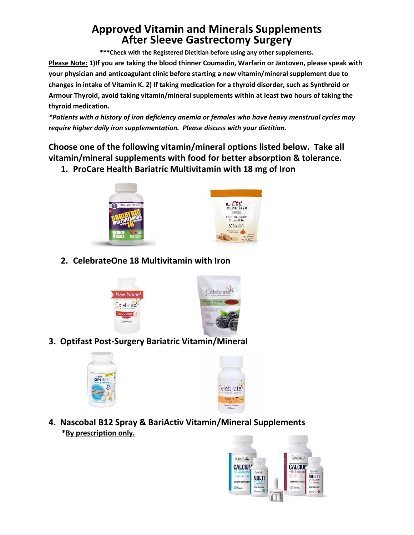# **Approved Vitamin and Minerals Supplements After Sleeve Gastrectomy Surgery**

**\*\*\*Check with the Registered Dietitian before using any other supplements.**

**Please Note: 1)If you are taking the blood thinner Coumadin, Warfarin or Jantoven, please speak with your physician and anticoagulant clinic before starting a new vitamin/mineral supplement due to changes in intake of Vitamin K. 2) If taking medication for a thyroid disorder, such as Synthroid or Armour Thyroid, avoid taking vitamin/mineral supplements within at least two hours of taking the thyroid medication.**

*\*Patients with a history of iron deficiency anemia or females who have heavy menstrual cycles may require higher daily iron supplementation. Please discuss with your dietitian.*

**Choose one of the following vitamin/mineral options listed below. Take all vitamin/mineral supplements with food for better absorption & tolerance.**

**1. ProCare Health Bariatric Multivitamin with 18 mg of Iron**





**2. CelebrateOne 18 Multivitamin with Iron**





**3. Optifast Post-Surgery Bariatric Vitamin/Mineral**





**4. Nascobal B12 Spray & BariActiv Vitamin/Mineral Supplements \*By prescription only.**

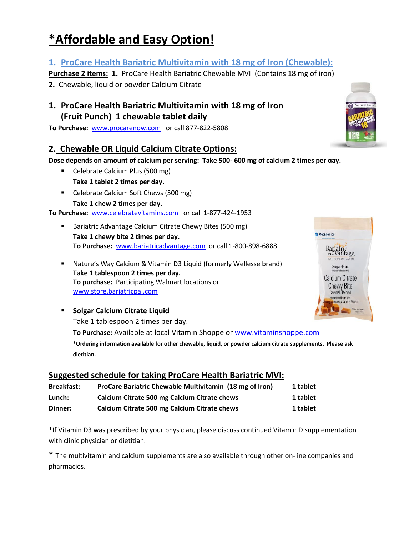# **\*Affordable and Easy Option!**

# **1. ProCare Health Bariatric Multivitamin with 18 mg of Iron (Chewable):**

**Purchase 2 items: 1.** ProCare Health Bariatric Chewable MVI (Contains 18 mg of iron)

**2.** Chewable, liquid or powder Calcium Citrate

### **1. ProCare Health Bariatric Multivitamin with 18 mg of Iron (Fruit Punch) 1 chewable tablet daily**

**To Purchase:** [www.procarenow.com](http://www.procarenow.com/) or call 877-822-5808

# **2. Chewable OR Liquid Calcium Citrate Options:**

**Dose depends on amount of calcium per serving: Take 500- 600 mg of calcium 2 times per day.**

- Celebrate Calcium Plus (500 mg) **Take 1 tablet 2 times per day.**
- Celebrate Calcium Soft Chews (500 mg) **Take 1 chew 2 times per day**.

**To Purchase:** [www.celebratevitamins.com](http://www.celebratevitamins.com/) or call 1-877-424-1953

- Bariatric Advantage Calcium Citrate Chewy Bites (500 mg) **Take 1 chewy bite 2 times per day. To Purchase:** [www.bariatricadvantage.com](http://www.bariatricadvantage.com/) or call 1-800-898-6888
- Nature's Way Calcium & Vitamin D3 Liquid (formerly Wellesse brand) **Take 1 tablespoon 2 times per day. To purchase:** Participating Walmart locations or www.store.bariatricpal.com
- **Solgar Calcium Citrate Liquid** Take 1 tablespoon 2 times per day. **To Purchase:** Available at local Vitamin Shoppe or [www.vitaminshoppe.com](http://www.vitaminshoppe.com/) **\*Ordering information available for other chewable, liquid, or powder calcium citrate supplements. Please ask dietitian.**

#### **Suggested schedule for taking ProCare Health Bariatric MVI:**

| <b>Breakfast:</b> | ProCare Bariatric Chewable Multivitamin (18 mg of Iron) | 1 tablet |
|-------------------|---------------------------------------------------------|----------|
| Lunch:            | Calcium Citrate 500 mg Calcium Citrate chews            | 1 tablet |
| Dinner:           | Calcium Citrate 500 mg Calcium Citrate chews            | 1 tablet |

\*If Vitamin D3 was prescribed by your physician, please discuss continued Vitamin D supplementation with clinic physician or dietitian.

\* The multivitamin and calcium supplements are also available through other on-line companies and pharmacies.



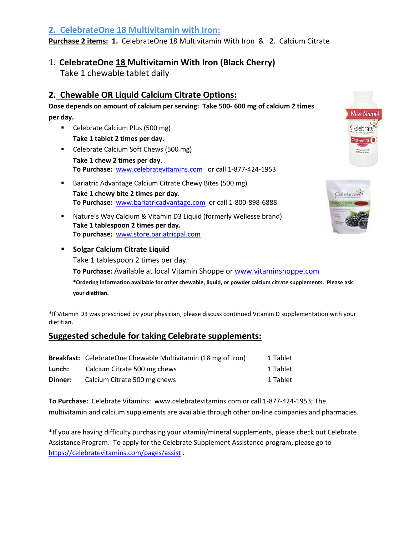#### **2. CelebrateOne 18 Multivitamin with Iron:**

**Purchase 2 items: 1.** CelebrateOne 18 Multivitamin With Iron & **2**. Calcium Citrate

#### 1. **CelebrateOne 18 Multivitamin With Iron (Black Cherry)**

Take 1 chewable tablet daily

#### **2. Chewable OR Liquid Calcium Citrate Options:**

**Dose depends on amount of calcium per serving: Take 500- 600 mg of calcium 2 times per day.**

- Celebrate Calcium Plus (500 mg) **Take 1 tablet 2 times per day.**
- Celebrate Calcium Soft Chews (500 mg) **Take 1 chew 2 times per day**. **To Purchase:** [www.celebratevitamins.com](http://www.celebratevitamins.com/) or call 1-877-424-1953
- **Bariatric Advantage Calcium Citrate Chewy Bites (500 mg) Take 1 chewy bite 2 times per day. To Purchase:** [www.bariatricadvantage.com](http://www.bariatricadvantage.com/) or call 1-800-898-6888
- Nature's Way Calcium & Vitamin D3 Liquid (formerly Wellesse brand) **Take 1 tablespoon 2 times per day. To purchase:** www.store.bariatricpal.com



New Name.

**Solgar Calcium Citrate Liquid** Take 1 tablespoon 2 times per day. **To Purchase:** Available at local Vitamin Shoppe or [www.vitaminshoppe.com](http://www.vitaminshoppe.com/) **\*Ordering information available for other chewable, liquid, or powder calcium citrate supplements. Please ask your dietitian.**

\*If Vitamin D3 was prescribed by your physician, please discuss continued Vitamin D supplementation with your dietitian.

#### **Suggested schedule for taking Celebrate supplements:**

|         | Breakfast: CelebrateOne Chewable Multivitamin (18 mg of Iron) | 1 Tablet |
|---------|---------------------------------------------------------------|----------|
| Lunch:  | Calcium Citrate 500 mg chews                                  | 1 Tablet |
| Dinner: | Calcium Citrate 500 mg chews                                  | 1 Tablet |

**To Purchase:** Celebrate Vitamins: www.celebratevitamins.com or call 1-877-424-1953; The multivitamin and calcium supplements are available through other on-line companies and pharmacies.

\*If you are having difficulty purchasing your vitamin/mineral supplements, please check out Celebrate Assistance Program. To apply for the Celebrate Supplement Assistance program, please go to <https://celebratevitamins.com/pages/assist> .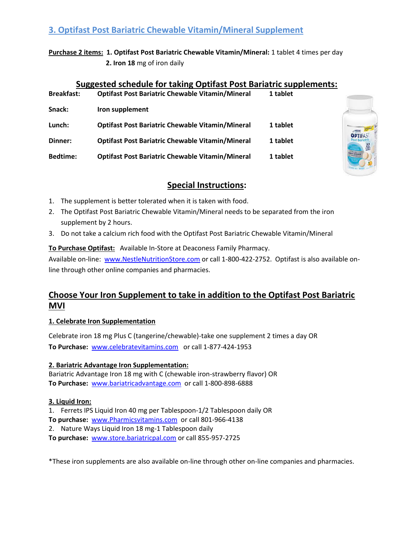#### **3. Optifast Post Bariatric Chewable Vitamin/Mineral Supplement**

**Purchase 2 items: 1. Optifast Post Bariatric Chewable Vitamin/Mineral:** 1 tablet 4 times per day  **2. Iron 18** mg of iron daily

#### **Suggested schedule for taking Optifast Post Bariatric supplements:**

| <b>Breakfast:</b> | <b>Optifast Post Bariatric Chewable Vitamin/Mineral</b> | 1 tablet |
|-------------------|---------------------------------------------------------|----------|
| Snack:            | Iron supplement                                         |          |
| Lunch:            | <b>Optifast Post Bariatric Chewable Vitamin/Mineral</b> | 1 tablet |
| Dinner:           | <b>Optifast Post Bariatric Chewable Vitamin/Mineral</b> | 1 tablet |
| <b>Bedtime:</b>   | <b>Optifast Post Bariatric Chewable Vitamin/Mineral</b> | 1 tablet |



#### **Special Instructions:**

- 1. The supplement is better tolerated when it is taken with food.
- 2. The Optifast Post Bariatric Chewable Vitamin/Mineral needs to be separated from the iron supplement by 2 hours.
- 3. Do not take a calcium rich food with the Optifast Post Bariatric Chewable Vitamin/Mineral

#### **To Purchase Optifast:** Available In-Store at Deaconess Family Pharmacy.

Available on-line: [www.NestleNutritionStore.com](http://www.nestlenutritionstore.com/) or call 1-800-422-2752. Optifast is also available online through other online companies and pharmacies.

# **Choose Your Iron Supplement to take in addition to the Optifast Post Bariatric MVI**

#### **1. Celebrate Iron Supplementation**

Celebrate iron 18 mg Plus C (tangerine/chewable)-take one supplement 2 times a day OR **To Purchase:** [www.celebratevitamins.com](http://www.celebratevitamins.com/) or call 1-877-424-1953

#### **2. Bariatric Advantage Iron Supplementation:**

Bariatric Advantage Iron 18 mg with C (chewable iron-strawberry flavor) OR **To Purchase:** [www.bariatricadvantage.com](http://www.bariatricadvantage.com/) or call 1-800-898-6888

#### **3. Liquid Iron:**

1. Ferrets IPS Liquid Iron 40 mg per Tablespoon-1/2 Tablespoon daily OR

- **To purchase:** [www.Pharmicsvitamins.com](http://www.pharmicsvitamins.com/) or call 801-966-4138
- 2. Nature Ways Liquid Iron 18 mg-1 Tablespoon daily

**To purchase:** [www.store.bariatricpal.com](http://www.store.bariatricpal.com/) or call 855-957-2725

\*These iron supplements are also available on-line through other on-line companies and pharmacies.